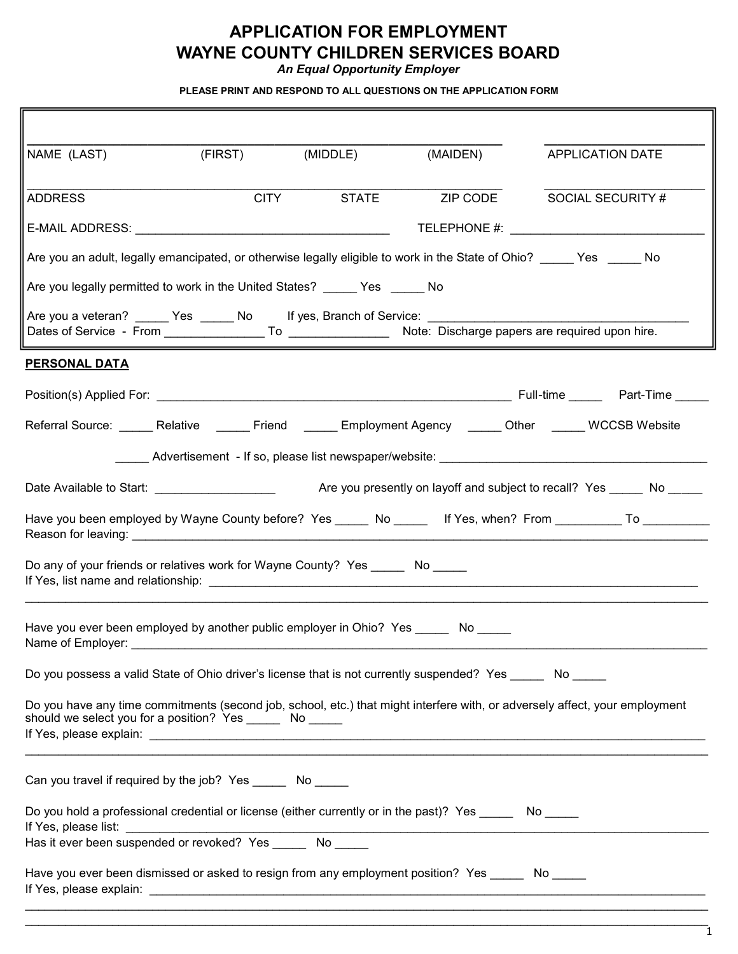### **APPLICATION FOR EMPLOYMENT WAYNE COUNTY CHILDREN SERVICES BOARD**

*An Equal Opportunity Employer*

**PLEASE PRINT AND RESPOND TO ALL QUESTIONS ON THE APPLICATION FORM**

| (FIRST)<br>(MIDDLE)<br>NAME (LAST)                                                                                                                                                        | (MAIDEN)<br>APPLICATION DATE  |  |  |  |
|-------------------------------------------------------------------------------------------------------------------------------------------------------------------------------------------|-------------------------------|--|--|--|
| CITY STATE<br><b>ADDRESS</b>                                                                                                                                                              | ZIP CODE<br>SOCIAL SECURITY # |  |  |  |
|                                                                                                                                                                                           |                               |  |  |  |
| Are you an adult, legally emancipated, or otherwise legally eligible to work in the State of Ohio? _____ Yes _____ No                                                                     |                               |  |  |  |
| Are you legally permitted to work in the United States? ______ Yes ______ No                                                                                                              |                               |  |  |  |
| Are you a veteran? ______ Yes _____ No lf yes, Branch of Service: _____________________                                                                                                   |                               |  |  |  |
| PERSONAL DATA                                                                                                                                                                             |                               |  |  |  |
|                                                                                                                                                                                           |                               |  |  |  |
| Referral Source: _____ Relative _____ Friend _____ Employment Agency _____ Other _____ WCCSB Website                                                                                      |                               |  |  |  |
|                                                                                                                                                                                           |                               |  |  |  |
|                                                                                                                                                                                           |                               |  |  |  |
| Have you been employed by Wayne County before? Yes ______ No _____ If Yes, when? From __________ To __________                                                                            |                               |  |  |  |
| Do any of your friends or relatives work for Wayne County? Yes ______ No _____                                                                                                            |                               |  |  |  |
| Have you ever been employed by another public employer in Ohio? Yes ______ No _____<br>Name of Employer:                                                                                  |                               |  |  |  |
| Do you possess a valid State of Ohio driver's license that is not currently suspended? Yes No                                                                                             |                               |  |  |  |
| Do you have any time commitments (second job, school, etc.) that might interfere with, or adversely affect, your employment<br>should we select you for a position? Yes _______ No ______ |                               |  |  |  |
| Can you travel if required by the job? Yes No                                                                                                                                             |                               |  |  |  |
| Do you hold a professional credential or license (either currently or in the past)? Yes _______ No _____<br>If Yes, please list:                                                          |                               |  |  |  |
|                                                                                                                                                                                           |                               |  |  |  |
| Have you ever been dismissed or asked to resign from any employment position? Yes No                                                                                                      |                               |  |  |  |

1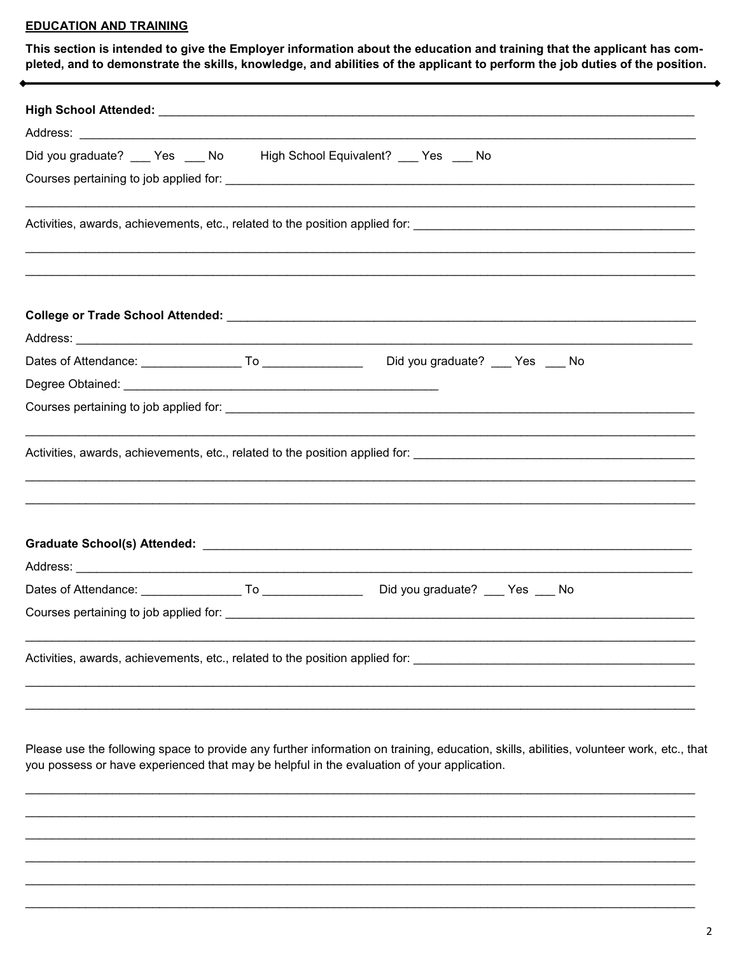#### **EDUCATION AND TRAINING**

This section is intended to give the Employer information about the education and training that the applicant has completed, and to demonstrate the skills, knowledge, and abilities of the applicant to perform the job duties of the position.

|  | Did you graduate? ___ Yes ___ No High School Equivalent? __ Yes ___ No |
|--|------------------------------------------------------------------------|
|  |                                                                        |
|  |                                                                        |
|  |                                                                        |
|  |                                                                        |
|  |                                                                        |
|  |                                                                        |
|  |                                                                        |
|  |                                                                        |
|  |                                                                        |
|  |                                                                        |
|  |                                                                        |
|  |                                                                        |
|  |                                                                        |

Please use the following space to provide any further information on training, education, skills, abilities, volunteer work, etc., that you possess or have experienced that may be helpful in the evaluation of your application.

 $\ddot{\phantom{0}}$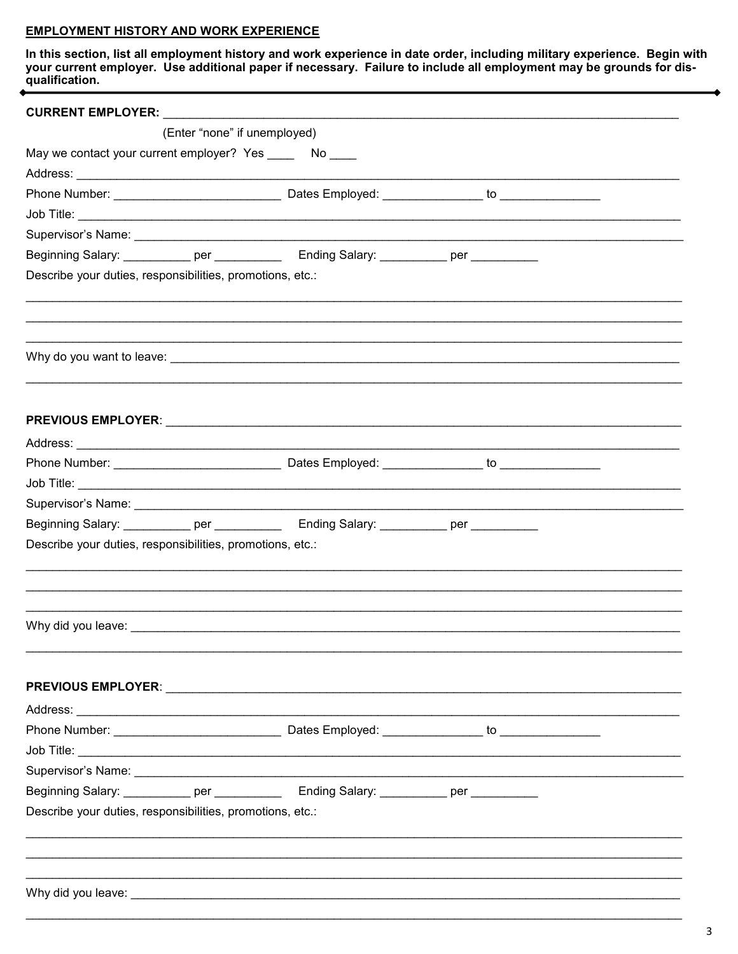#### **EMPLOYMENT HISTORY AND WORK EXPERIENCE**

In this section, list all employment history and work experience in date order, including military experience. Begin with<br>your current employer. Use additional paper if necessary. Failure to include all employment may be g

|                                                           | (Enter "none" if unemployed)                                                                                                                                                                                                   |  |
|-----------------------------------------------------------|--------------------------------------------------------------------------------------------------------------------------------------------------------------------------------------------------------------------------------|--|
| May we contact your current employer? Yes ______ No ____  |                                                                                                                                                                                                                                |  |
|                                                           |                                                                                                                                                                                                                                |  |
|                                                           |                                                                                                                                                                                                                                |  |
|                                                           |                                                                                                                                                                                                                                |  |
|                                                           |                                                                                                                                                                                                                                |  |
|                                                           | Beginning Salary: ____________ per ________________ Ending Salary: ___________ per ___________                                                                                                                                 |  |
| Describe your duties, responsibilities, promotions, etc.: |                                                                                                                                                                                                                                |  |
|                                                           |                                                                                                                                                                                                                                |  |
|                                                           |                                                                                                                                                                                                                                |  |
|                                                           |                                                                                                                                                                                                                                |  |
|                                                           |                                                                                                                                                                                                                                |  |
|                                                           |                                                                                                                                                                                                                                |  |
|                                                           |                                                                                                                                                                                                                                |  |
|                                                           |                                                                                                                                                                                                                                |  |
|                                                           |                                                                                                                                                                                                                                |  |
|                                                           |                                                                                                                                                                                                                                |  |
|                                                           | Beginning Salary: ___________ per _______________ Ending Salary: ___________ per __________                                                                                                                                    |  |
| Describe your duties, responsibilities, promotions, etc.: |                                                                                                                                                                                                                                |  |
|                                                           |                                                                                                                                                                                                                                |  |
|                                                           |                                                                                                                                                                                                                                |  |
|                                                           | Why did you leave: the contract of the contract of the contract of the contract of the contract of the contract of the contract of the contract of the contract of the contract of the contract of the contract of the contrac |  |
|                                                           |                                                                                                                                                                                                                                |  |
|                                                           |                                                                                                                                                                                                                                |  |
|                                                           |                                                                                                                                                                                                                                |  |
|                                                           |                                                                                                                                                                                                                                |  |
|                                                           |                                                                                                                                                                                                                                |  |
|                                                           |                                                                                                                                                                                                                                |  |
|                                                           | Beginning Salary: ___________ per _______________ Ending Salary: __________ per ___________                                                                                                                                    |  |
| Describe your duties, responsibilities, promotions, etc.: |                                                                                                                                                                                                                                |  |
|                                                           |                                                                                                                                                                                                                                |  |
|                                                           |                                                                                                                                                                                                                                |  |
|                                                           |                                                                                                                                                                                                                                |  |
|                                                           |                                                                                                                                                                                                                                |  |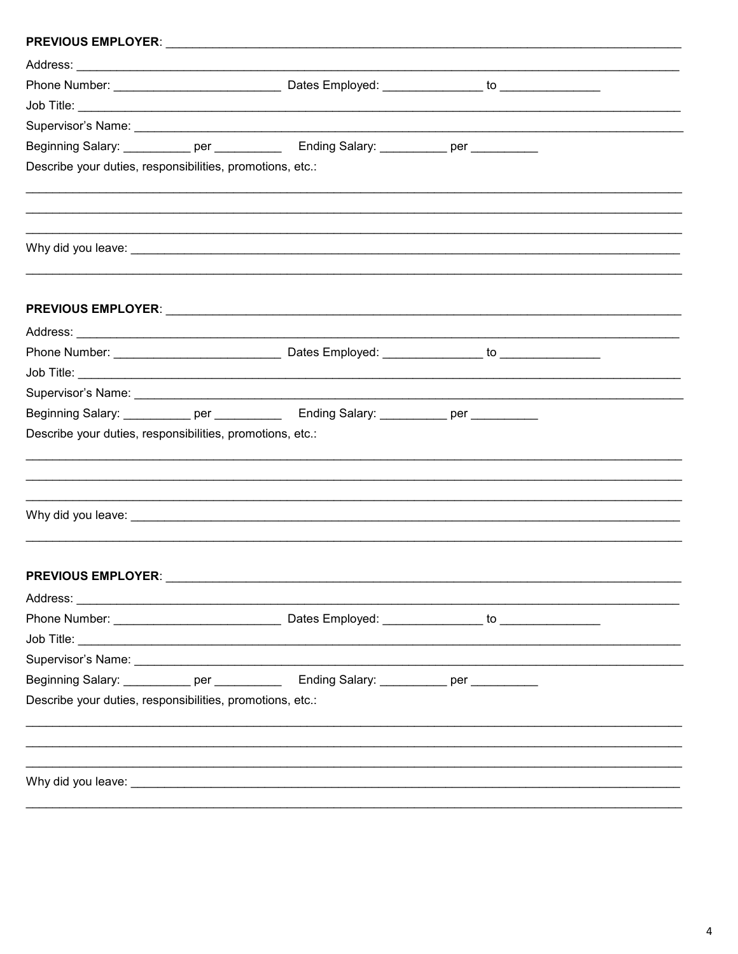|                                                           | Beginning Salary: ____________ per ________________ Ending Salary: ___________ per ___________                                                                                                                                       |                                                                                                                                                                                                                                |  |
|-----------------------------------------------------------|--------------------------------------------------------------------------------------------------------------------------------------------------------------------------------------------------------------------------------------|--------------------------------------------------------------------------------------------------------------------------------------------------------------------------------------------------------------------------------|--|
| Describe your duties, responsibilities, promotions, etc.: |                                                                                                                                                                                                                                      |                                                                                                                                                                                                                                |  |
|                                                           |                                                                                                                                                                                                                                      |                                                                                                                                                                                                                                |  |
|                                                           |                                                                                                                                                                                                                                      |                                                                                                                                                                                                                                |  |
|                                                           |                                                                                                                                                                                                                                      |                                                                                                                                                                                                                                |  |
|                                                           |                                                                                                                                                                                                                                      |                                                                                                                                                                                                                                |  |
|                                                           |                                                                                                                                                                                                                                      |                                                                                                                                                                                                                                |  |
|                                                           |                                                                                                                                                                                                                                      |                                                                                                                                                                                                                                |  |
|                                                           |                                                                                                                                                                                                                                      |                                                                                                                                                                                                                                |  |
|                                                           |                                                                                                                                                                                                                                      |                                                                                                                                                                                                                                |  |
|                                                           | Beginning Salary: ___________ per _______________ Ending Salary: ___________ per __________                                                                                                                                          |                                                                                                                                                                                                                                |  |
| Describe your duties, responsibilities, promotions, etc.: |                                                                                                                                                                                                                                      |                                                                                                                                                                                                                                |  |
|                                                           |                                                                                                                                                                                                                                      |                                                                                                                                                                                                                                |  |
|                                                           |                                                                                                                                                                                                                                      |                                                                                                                                                                                                                                |  |
|                                                           |                                                                                                                                                                                                                                      |                                                                                                                                                                                                                                |  |
|                                                           |                                                                                                                                                                                                                                      | Why did you leave: with a state of the contract of the contract of the contract of the contract of the contract of the contract of the contract of the contract of the contract of the contract of the contract of the contrac |  |
|                                                           |                                                                                                                                                                                                                                      |                                                                                                                                                                                                                                |  |
|                                                           |                                                                                                                                                                                                                                      |                                                                                                                                                                                                                                |  |
| <b>PREVIOUS EMPLOYER:</b>                                 |                                                                                                                                                                                                                                      |                                                                                                                                                                                                                                |  |
|                                                           |                                                                                                                                                                                                                                      |                                                                                                                                                                                                                                |  |
|                                                           |                                                                                                                                                                                                                                      |                                                                                                                                                                                                                                |  |
|                                                           |                                                                                                                                                                                                                                      |                                                                                                                                                                                                                                |  |
|                                                           |                                                                                                                                                                                                                                      |                                                                                                                                                                                                                                |  |
|                                                           | Beginning Salary: ___________ per ______________ Ending Salary: ___________ per __________                                                                                                                                           |                                                                                                                                                                                                                                |  |
| Describe your duties, responsibilities, promotions, etc.: |                                                                                                                                                                                                                                      |                                                                                                                                                                                                                                |  |
|                                                           |                                                                                                                                                                                                                                      |                                                                                                                                                                                                                                |  |
|                                                           |                                                                                                                                                                                                                                      |                                                                                                                                                                                                                                |  |
|                                                           |                                                                                                                                                                                                                                      |                                                                                                                                                                                                                                |  |
|                                                           | Why did you leave: <b>All any of the contract of the contract of the contract of the contract of the contract of the contract of the contract of the contract of the contract of the contract of the contract of the contract of</b> |                                                                                                                                                                                                                                |  |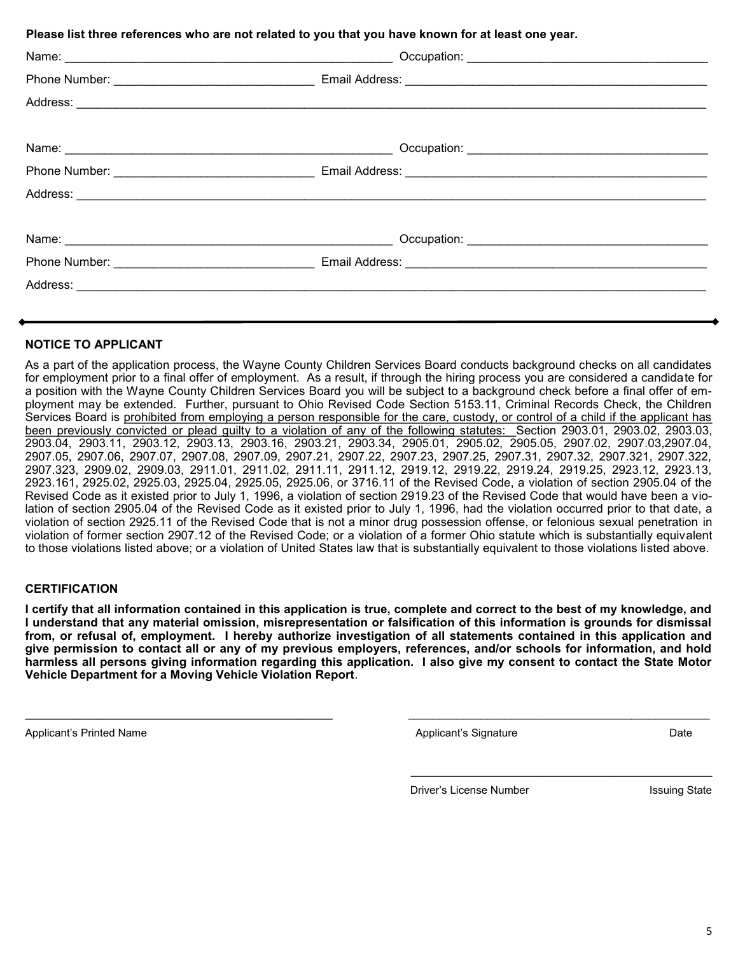**Please list three references who are not related to you that you have known for at least one year.**

#### **NOTICE TO APPLICANT**

As a part of the application process, the Wayne County Children Services Board conducts background checks on all candidates for employment prior to a final offer of employment. As a result, if through the hiring process you are considered a candidate for a position with the Wayne County Children Services Board you will be subject to a background check before a final offer of employment may be extended. Further, pursuant to Ohio Revised Code Section 5153.11, Criminal Records Check, the Children Services Board is prohibited from employing a person responsible for the care, custody, or control of a child if the applicant has been previously convicted or plead guilty to a violation of any of the following statutes: Section 2903.01, 2903.02, 2903.03, 2903.04, 2903.11, 2903.12, 2903.13, 2903.16, 2903.21, 2903.34, 2905.01, 2905.02, 2905.05, 2907.02, 2907.03,2907.04, 2907.05, 2907.06, 2907.07, 2907.08, 2907.09, 2907.21, 2907.22, 2907.23, 2907.25, 2907.31, 2907.32, 2907.321, 2907.322, 2907.323, 2909.02, 2909.03, 2911.01, 2911.02, 2911.11, 2911.12, 2919.12, 2919.22, 2919.24, 2919.25, 2923.12, 2923.13, 2923.161, 2925.02, 2925.03, 2925.04, 2925.05, 2925.06, or 3716.11 of the Revised Code, a violation of section 2905.04 of the Revised Code as it existed prior to July 1, 1996, a violation of section 2919.23 of the Revised Code that would have been a violation of section 2905.04 of the Revised Code as it existed prior to July 1, 1996, had the violation occurred prior to that date, a violation of section 2925.11 of the Revised Code that is not a minor drug possession offense, or felonious sexual penetration in violation of former section 2907.12 of the Revised Code; or a violation of a former Ohio statute which is substantially equivalent to those violations listed above; or a violation of United States law that is substantially equivalent to those violations listed above.

#### **CERTIFICATION**

**I certify that all information contained in this application is true, complete and correct to the best of my knowledge, and I understand that any material omission, misrepresentation or falsification of this information is grounds for dismissal from, or refusal of, employment. I hereby authorize investigation of all statements contained in this application and give permission to contact all or any of my previous employers, references, and/or schools for information, and hold harmless all persons giving information regarding this application. I also give my consent to contact the State Motor Vehicle Department for a Moving Vehicle Violation Report**.

\_\_\_\_\_\_\_\_\_\_\_\_\_\_\_\_\_\_\_\_\_\_\_\_\_\_\_\_\_\_\_\_\_\_\_\_\_\_\_\_\_\_\_\_\_\_\_\_\_\_\_ \_\_\_\_\_\_\_\_\_\_\_\_\_\_\_\_\_\_\_\_\_\_\_\_\_\_\_\_\_\_\_\_\_\_\_\_\_\_\_\_\_\_\_\_\_\_\_\_\_\_

Applicant's Printed Name **Applicant's Signature** Applicant's Signature Applicant's Signature Date

Driver's License Number Issuing State

 $\mathcal{L}_\text{max} = \mathcal{L}_\text{max} = \mathcal{L}_\text{max} = \mathcal{L}_\text{max} = \mathcal{L}_\text{max} = \mathcal{L}_\text{max} = \mathcal{L}_\text{max} = \mathcal{L}_\text{max} = \mathcal{L}_\text{max} = \mathcal{L}_\text{max} = \mathcal{L}_\text{max} = \mathcal{L}_\text{max} = \mathcal{L}_\text{max} = \mathcal{L}_\text{max} = \mathcal{L}_\text{max} = \mathcal{L}_\text{max} = \mathcal{L}_\text{max} = \mathcal{L}_\text{max} = \mathcal{$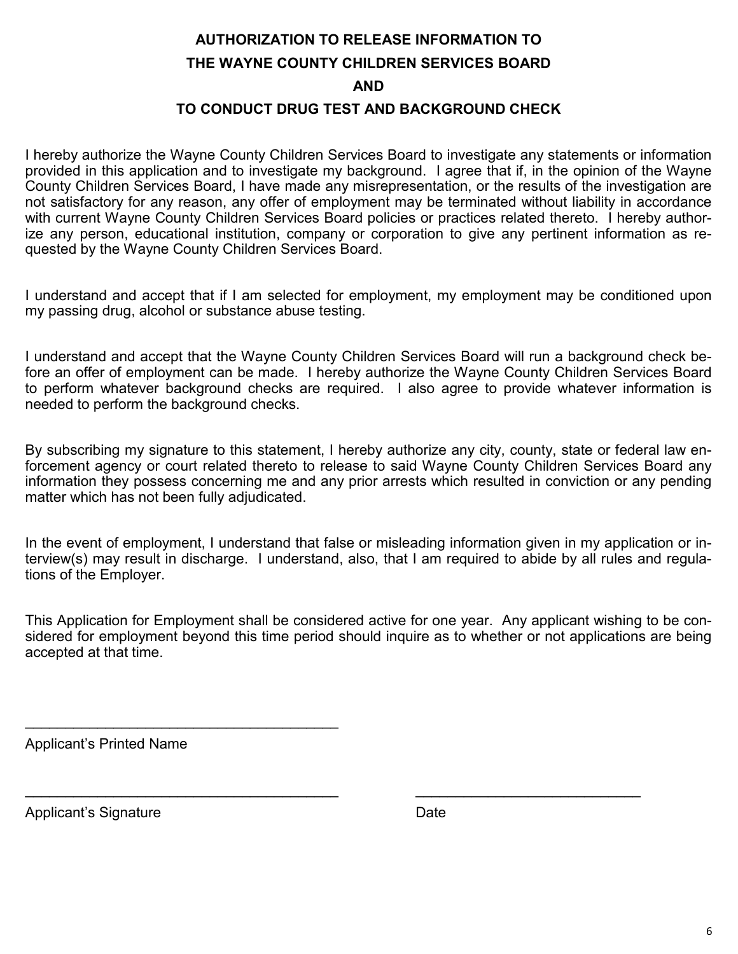## **AUTHORIZATION TO RELEASE INFORMATION TO THE WAYNE COUNTY CHILDREN SERVICES BOARD**

**AND**

#### **TO CONDUCT DRUG TEST AND BACKGROUND CHECK**

I hereby authorize the Wayne County Children Services Board to investigate any statements or information provided in this application and to investigate my background. I agree that if, in the opinion of the Wayne County Children Services Board, I have made any misrepresentation, or the results of the investigation are not satisfactory for any reason, any offer of employment may be terminated without liability in accordance with current Wayne County Children Services Board policies or practices related thereto. I hereby authorize any person, educational institution, company or corporation to give any pertinent information as requested by the Wayne County Children Services Board.

I understand and accept that if I am selected for employment, my employment may be conditioned upon my passing drug, alcohol or substance abuse testing.

I understand and accept that the Wayne County Children Services Board will run a background check before an offer of employment can be made. I hereby authorize the Wayne County Children Services Board to perform whatever background checks are required. I also agree to provide whatever information is needed to perform the background checks.

By subscribing my signature to this statement, I hereby authorize any city, county, state or federal law enforcement agency or court related thereto to release to said Wayne County Children Services Board any information they possess concerning me and any prior arrests which resulted in conviction or any pending matter which has not been fully adjudicated.

In the event of employment, I understand that false or misleading information given in my application or interview(s) may result in discharge. I understand, also, that I am required to abide by all rules and regulations of the Employer.

This Application for Employment shall be considered active for one year. Any applicant wishing to be considered for employment beyond this time period should inquire as to whether or not applications are being accepted at that time.

 $\mathcal{L}_\mathcal{L} = \mathcal{L}_\mathcal{L} = \mathcal{L}_\mathcal{L} = \mathcal{L}_\mathcal{L} = \mathcal{L}_\mathcal{L} = \mathcal{L}_\mathcal{L} = \mathcal{L}_\mathcal{L} = \mathcal{L}_\mathcal{L} = \mathcal{L}_\mathcal{L} = \mathcal{L}_\mathcal{L} = \mathcal{L}_\mathcal{L} = \mathcal{L}_\mathcal{L} = \mathcal{L}_\mathcal{L} = \mathcal{L}_\mathcal{L} = \mathcal{L}_\mathcal{L} = \mathcal{L}_\mathcal{L} = \mathcal{L}_\mathcal{L}$ 

Applicant's Printed Name

\_\_\_\_\_\_\_\_\_\_\_\_\_\_\_\_\_\_\_\_\_\_\_\_\_\_\_\_\_\_\_\_\_\_\_\_\_\_\_

Applicant's Signature **Date** Date